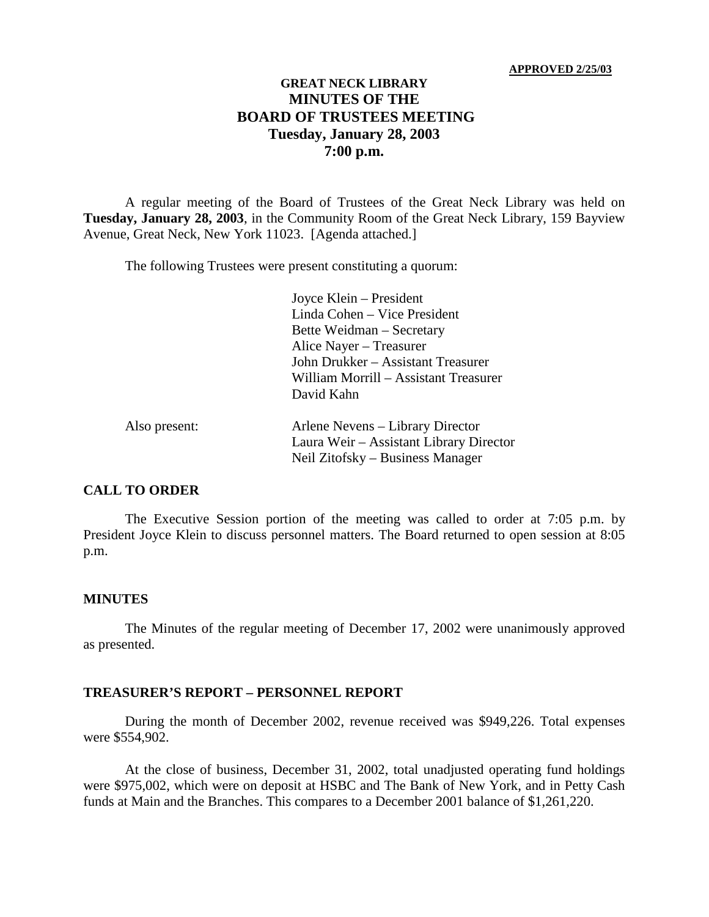#### **APPROVED 2/25/03**

# **GREAT NECK LIBRARY MINUTES OF THE BOARD OF TRUSTEES MEETING Tuesday, January 28, 2003 7:00 p.m.**

A regular meeting of the Board of Trustees of the Great Neck Library was held on **Tuesday, January 28, 2003**, in the Community Room of the Great Neck Library, 159 Bayview Avenue, Great Neck, New York 11023. [Agenda attached.]

The following Trustees were present constituting a quorum:

Joyce Klein – President Linda Cohen – Vice President Bette Weidman – Secretary Alice Nayer – Treasurer John Drukker – Assistant Treasurer William Morrill – Assistant Treasurer David Kahn

| Also present: | Arlene Nevens – Library Director        |
|---------------|-----------------------------------------|
|               | Laura Weir – Assistant Library Director |
|               | Neil Zitofsky – Business Manager        |

# **CALL TO ORDER**

The Executive Session portion of the meeting was called to order at 7:05 p.m. by President Joyce Klein to discuss personnel matters. The Board returned to open session at 8:05 p.m.

#### **MINUTES**

The Minutes of the regular meeting of December 17, 2002 were unanimously approved as presented.

#### **TREASURER'S REPORT – PERSONNEL REPORT**

During the month of December 2002, revenue received was \$949,226. Total expenses were \$554,902.

At the close of business, December 31, 2002, total unadjusted operating fund holdings were \$975,002, which were on deposit at HSBC and The Bank of New York, and in Petty Cash funds at Main and the Branches. This compares to a December 2001 balance of \$1,261,220.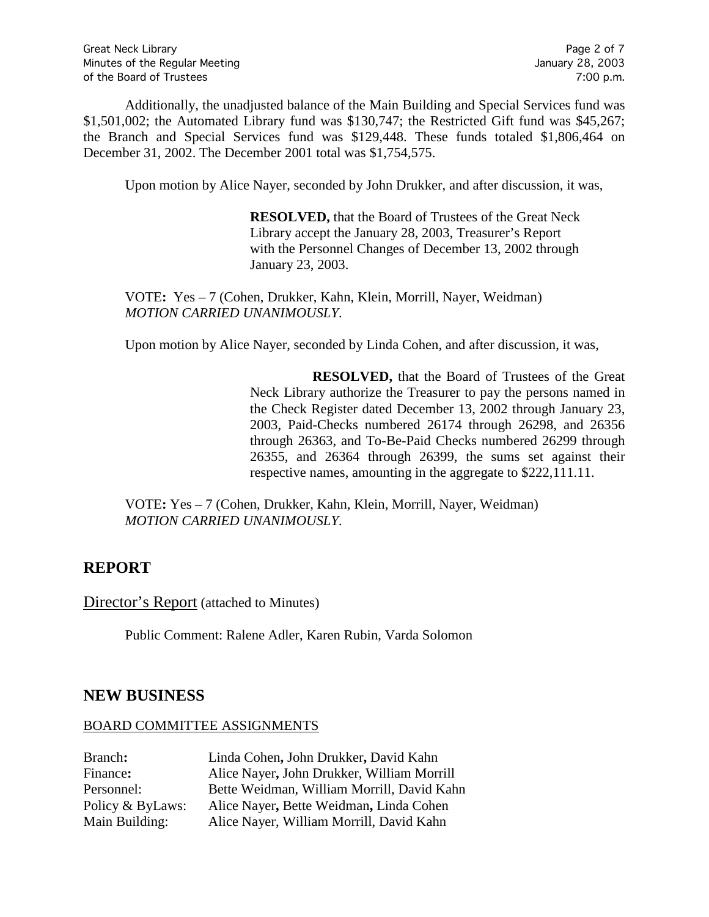Additionally, the unadjusted balance of the Main Building and Special Services fund was \$1,501,002; the Automated Library fund was \$130,747; the Restricted Gift fund was \$45,267; the Branch and Special Services fund was \$129,448. These funds totaled \$1,806,464 on December 31, 2002. The December 2001 total was \$1,754,575.

Upon motion by Alice Nayer, seconded by John Drukker, and after discussion, it was,

**RESOLVED,** that the Board of Trustees of the Great Neck Library accept the January 28, 2003, Treasurer's Report with the Personnel Changes of December 13, 2002 through January 23, 2003.

VOTE**:** Yes – 7 (Cohen, Drukker, Kahn, Klein, Morrill, Nayer, Weidman) *MOTION CARRIED UNANIMOUSLY.*

Upon motion by Alice Nayer, seconded by Linda Cohen, and after discussion, it was,

**RESOLVED,** that the Board of Trustees of the Great Neck Library authorize the Treasurer to pay the persons named in the Check Register dated December 13, 2002 through January 23, 2003, Paid-Checks numbered 26174 through 26298, and 26356 through 26363, and To-Be-Paid Checks numbered 26299 through 26355, and 26364 through 26399, the sums set against their respective names, amounting in the aggregate to \$222,111.11.

VOTE**:** Yes – 7 (Cohen, Drukker, Kahn, Klein, Morrill, Nayer, Weidman) *MOTION CARRIED UNANIMOUSLY.*

# **REPORT**

Director's Report (attached to Minutes)

Public Comment: Ralene Adler, Karen Rubin, Varda Solomon

# **NEW BUSINESS**

#### BOARD COMMITTEE ASSIGNMENTS

| Branch:          | Linda Cohen, John Drukker, David Kahn      |
|------------------|--------------------------------------------|
| Finance:         | Alice Nayer, John Drukker, William Morrill |
| Personnel:       | Bette Weidman, William Morrill, David Kahn |
| Policy & ByLaws: | Alice Nayer, Bette Weidman, Linda Cohen    |
| Main Building:   | Alice Nayer, William Morrill, David Kahn   |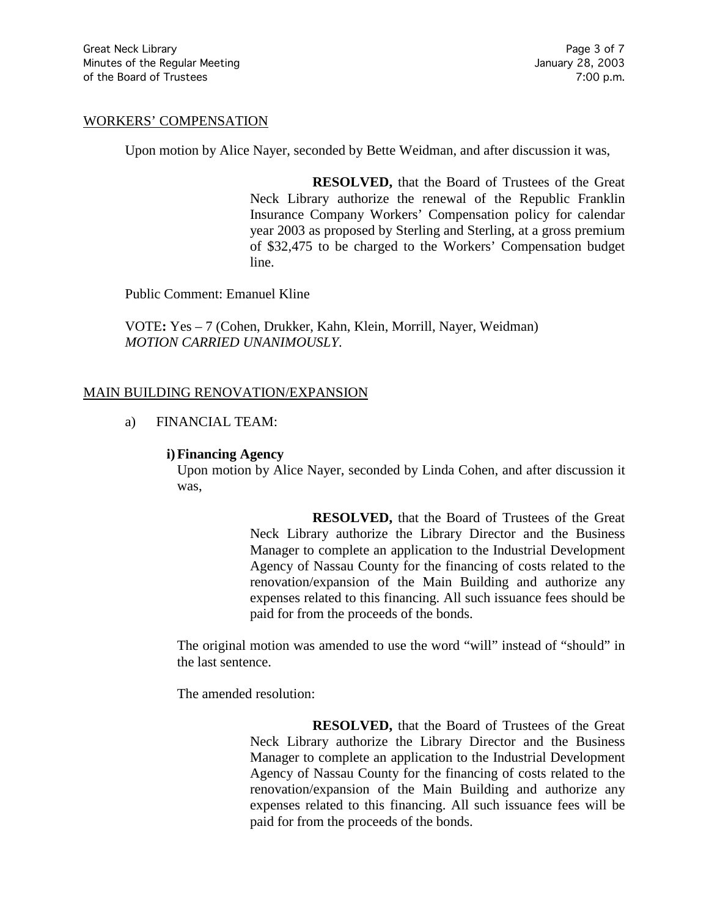### WORKERS' COMPENSATION

Upon motion by Alice Nayer, seconded by Bette Weidman, and after discussion it was,

**RESOLVED,** that the Board of Trustees of the Great Neck Library authorize the renewal of the Republic Franklin Insurance Company Workers' Compensation policy for calendar year 2003 as proposed by Sterling and Sterling, at a gross premium of \$32,475 to be charged to the Workers' Compensation budget line.

Public Comment: Emanuel Kline

VOTE**:** Yes – 7 (Cohen, Drukker, Kahn, Klein, Morrill, Nayer, Weidman) *MOTION CARRIED UNANIMOUSLY.*

#### MAIN BUILDING RENOVATION/EXPANSION

#### a) FINANCIAL TEAM:

#### **i)Financing Agency**

Upon motion by Alice Nayer, seconded by Linda Cohen, and after discussion it was,

> **RESOLVED,** that the Board of Trustees of the Great Neck Library authorize the Library Director and the Business Manager to complete an application to the Industrial Development Agency of Nassau County for the financing of costs related to the renovation/expansion of the Main Building and authorize any expenses related to this financing. All such issuance fees should be paid for from the proceeds of the bonds.

The original motion was amended to use the word "will" instead of "should" in the last sentence.

The amended resolution:

**RESOLVED,** that the Board of Trustees of the Great Neck Library authorize the Library Director and the Business Manager to complete an application to the Industrial Development Agency of Nassau County for the financing of costs related to the renovation/expansion of the Main Building and authorize any expenses related to this financing. All such issuance fees will be paid for from the proceeds of the bonds.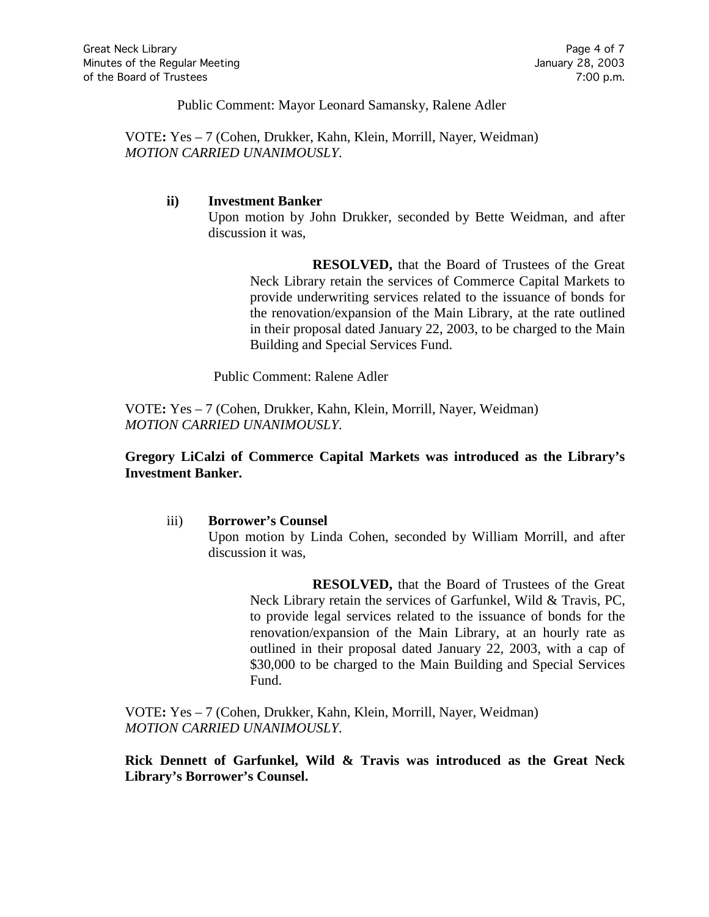Public Comment: Mayor Leonard Samansky, Ralene Adler

VOTE**:** Yes – 7 (Cohen, Drukker, Kahn, Klein, Morrill, Nayer, Weidman) *MOTION CARRIED UNANIMOUSLY.*

#### **ii) Investment Banker**

Upon motion by John Drukker, seconded by Bette Weidman, and after discussion it was,

**RESOLVED,** that the Board of Trustees of the Great Neck Library retain the services of Commerce Capital Markets to provide underwriting services related to the issuance of bonds for the renovation/expansion of the Main Library, at the rate outlined in their proposal dated January 22, 2003, to be charged to the Main Building and Special Services Fund.

Public Comment: Ralene Adler

VOTE**:** Yes – 7 (Cohen, Drukker, Kahn, Klein, Morrill, Nayer, Weidman) *MOTION CARRIED UNANIMOUSLY.*

# **Gregory LiCalzi of Commerce Capital Markets was introduced as the Library's Investment Banker.**

iii) **Borrower's Counsel**

Upon motion by Linda Cohen, seconded by William Morrill, and after discussion it was,

**RESOLVED,** that the Board of Trustees of the Great Neck Library retain the services of Garfunkel, Wild & Travis, PC, to provide legal services related to the issuance of bonds for the renovation/expansion of the Main Library, at an hourly rate as outlined in their proposal dated January 22, 2003, with a cap of \$30,000 to be charged to the Main Building and Special Services Fund.

VOTE**:** Yes – 7 (Cohen, Drukker, Kahn, Klein, Morrill, Nayer, Weidman) *MOTION CARRIED UNANIMOUSLY.*

**Rick Dennett of Garfunkel, Wild & Travis was introduced as the Great Neck Library's Borrower's Counsel.**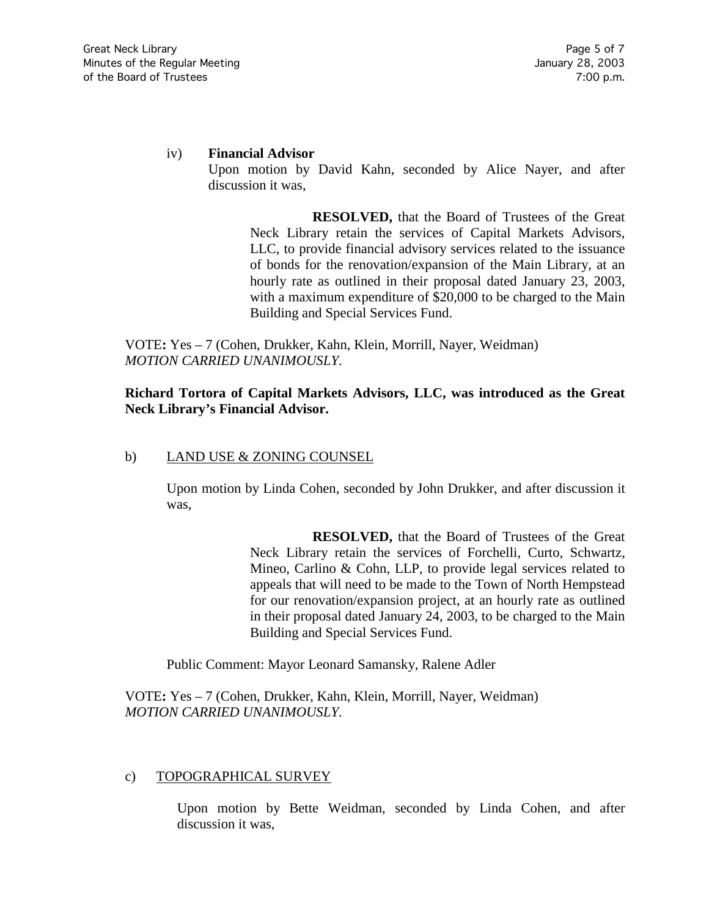# iv) **Financial Advisor**

Upon motion by David Kahn, seconded by Alice Nayer, and after discussion it was,

> **RESOLVED,** that the Board of Trustees of the Great Neck Library retain the services of Capital Markets Advisors, LLC, to provide financial advisory services related to the issuance of bonds for the renovation/expansion of the Main Library, at an hourly rate as outlined in their proposal dated January 23, 2003, with a maximum expenditure of \$20,000 to be charged to the Main Building and Special Services Fund.

VOTE**:** Yes – 7 (Cohen, Drukker, Kahn, Klein, Morrill, Nayer, Weidman) *MOTION CARRIED UNANIMOUSLY.*

# **Richard Tortora of Capital Markets Advisors, LLC, was introduced as the Great Neck Library's Financial Advisor.**

## b) LAND USE & ZONING COUNSEL

Upon motion by Linda Cohen, seconded by John Drukker, and after discussion it was,

> **RESOLVED,** that the Board of Trustees of the Great Neck Library retain the services of Forchelli, Curto, Schwartz, Mineo, Carlino & Cohn, LLP, to provide legal services related to appeals that will need to be made to the Town of North Hempstead for our renovation/expansion project, at an hourly rate as outlined in their proposal dated January 24, 2003, to be charged to the Main Building and Special Services Fund.

Public Comment: Mayor Leonard Samansky, Ralene Adler

VOTE**:** Yes – 7 (Cohen, Drukker, Kahn, Klein, Morrill, Nayer, Weidman) *MOTION CARRIED UNANIMOUSLY.*

# c) TOPOGRAPHICAL SURVEY

Upon motion by Bette Weidman, seconded by Linda Cohen, and after discussion it was,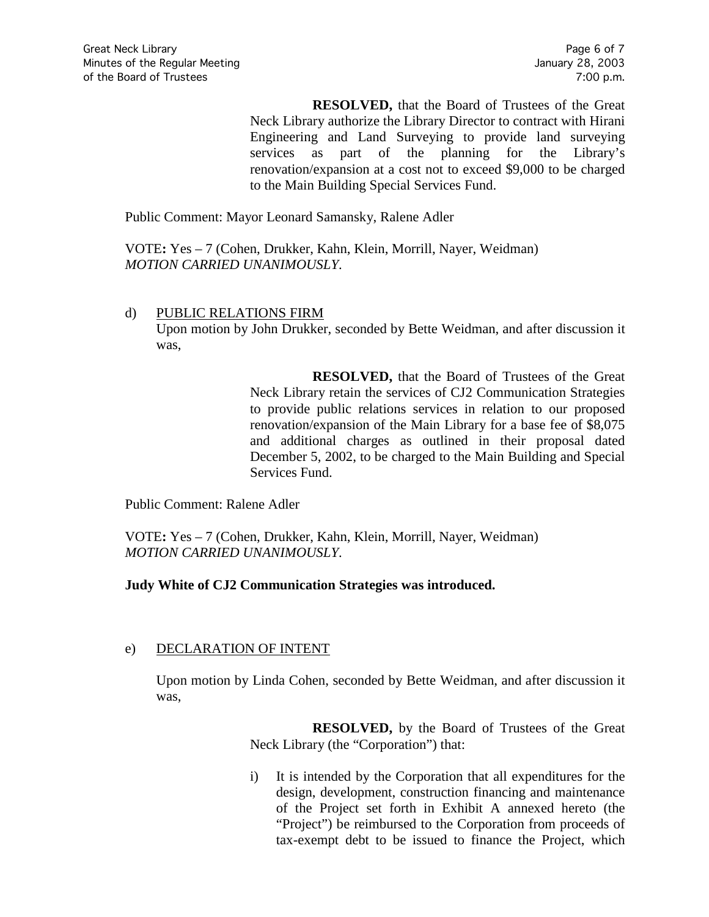**RESOLVED,** that the Board of Trustees of the Great Neck Library authorize the Library Director to contract with Hirani Engineering and Land Surveying to provide land surveying services as part of the planning for the Library's renovation/expansion at a cost not to exceed \$9,000 to be charged to the Main Building Special Services Fund.

Public Comment: Mayor Leonard Samansky, Ralene Adler

VOTE**:** Yes – 7 (Cohen, Drukker, Kahn, Klein, Morrill, Nayer, Weidman) *MOTION CARRIED UNANIMOUSLY.*

# d) PUBLIC RELATIONS FIRM Upon motion by John Drukker, seconded by Bette Weidman, and after discussion it was,

**RESOLVED,** that the Board of Trustees of the Great Neck Library retain the services of CJ2 Communication Strategies to provide public relations services in relation to our proposed renovation/expansion of the Main Library for a base fee of \$8,075 and additional charges as outlined in their proposal dated December 5, 2002, to be charged to the Main Building and Special Services Fund.

Public Comment: Ralene Adler

VOTE**:** Yes – 7 (Cohen, Drukker, Kahn, Klein, Morrill, Nayer, Weidman) *MOTION CARRIED UNANIMOUSLY.*

# **Judy White of CJ2 Communication Strategies was introduced.**

# e) DECLARATION OF INTENT

Upon motion by Linda Cohen, seconded by Bette Weidman, and after discussion it was,

> **RESOLVED,** by the Board of Trustees of the Great Neck Library (the "Corporation") that:

> i) It is intended by the Corporation that all expenditures for the design, development, construction financing and maintenance of the Project set forth in Exhibit A annexed hereto (the "Project") be reimbursed to the Corporation from proceeds of tax-exempt debt to be issued to finance the Project, which